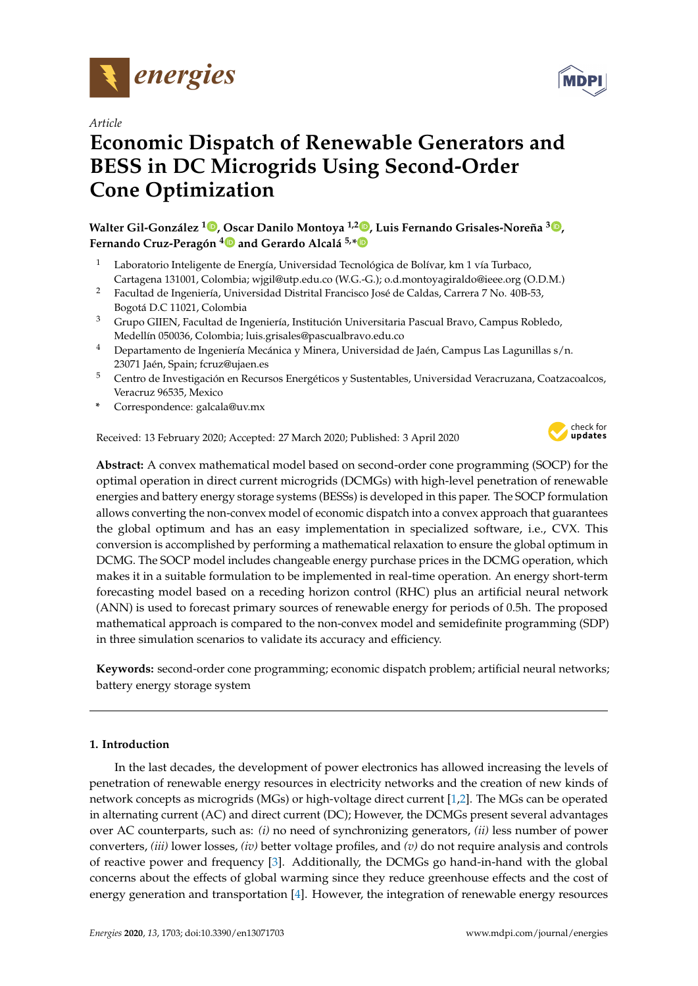



# **Economic Dispatch of Renewable Generators and BESS in DC Microgrids Using Second-Order Cone Optimization**

**Walter Gil-González [1](https://orcid.org/0000-0001-7609-1197) , Oscar Danilo Montoya 1,[2](https://orcid.org/0000-0001-6051-4925) , Luis Fernando Grisales-Noreña <sup>3</sup> [,](https://orcid.org/0000-0002-1409-9756) Fernando Cruz-Peragón [4](https://orcid.org/0000-0002-9804-4137) and Gerardo Alcalá 5,[\\*](https://orcid.org/0000-0003-2186-2323)**

- <sup>1</sup> Laboratorio Inteligente de Energía, Universidad Tecnológica de Bolívar, km 1 vía Turbaco, Cartagena 131001, Colombia; wjgil@utp.edu.co (W.G.-G.); o.d.montoyagiraldo@ieee.org (O.D.M.)
- <sup>2</sup> Facultad de Ingeniería, Universidad Distrital Francisco José de Caldas, Carrera 7 No. 40B-53, Bogotá D.C 11021, Colombia
- <sup>3</sup> Grupo GIIEN, Facultad de Ingeniería, Institución Universitaria Pascual Bravo, Campus Robledo, Medellín 050036, Colombia; luis.grisales@pascualbravo.edu.co
- <sup>4</sup> Departamento de Ingeniería Mecánica y Minera, Universidad de Jaén, Campus Las Lagunillas s/n. 23071 Jaén, Spain; fcruz@ujaen.es
- <sup>5</sup> Centro de Investigación en Recursos Energéticos y Sustentables, Universidad Veracruzana, Coatzacoalcos, Veracruz 96535, Mexico
- **\*** Correspondence: galcala@uv.mx

Received: 13 February 2020; Accepted: 27 March 2020; Published: 3 April 2020



**MDP** 

**Abstract:** A convex mathematical model based on second-order cone programming (SOCP) for the optimal operation in direct current microgrids (DCMGs) with high-level penetration of renewable energies and battery energy storage systems (BESSs) is developed in this paper. The SOCP formulation allows converting the non-convex model of economic dispatch into a convex approach that guarantees the global optimum and has an easy implementation in specialized software, i.e., CVX. This conversion is accomplished by performing a mathematical relaxation to ensure the global optimum in DCMG. The SOCP model includes changeable energy purchase prices in the DCMG operation, which makes it in a suitable formulation to be implemented in real-time operation. An energy short-term forecasting model based on a receding horizon control (RHC) plus an artificial neural network (ANN) is used to forecast primary sources of renewable energy for periods of 0.5h. The proposed mathematical approach is compared to the non-convex model and semidefinite programming (SDP) in three simulation scenarios to validate its accuracy and efficiency.

**Keywords:** second-order cone programming; economic dispatch problem; artificial neural networks; battery energy storage system

# **1. Introduction**

In the last decades, the development of power electronics has allowed increasing the levels of penetration of renewable energy resources in electricity networks and the creation of new kinds of network concepts as microgrids (MGs) or high-voltage direct current [\[1](#page-13-0)[,2\]](#page-13-1). The MGs can be operated in alternating current (AC) and direct current (DC); However, the DCMGs present several advantages over AC counterparts, such as: *(i)* no need of synchronizing generators, *(ii)* less number of power converters, *(iii)* lower losses, *(iv)* better voltage profiles, and *(v)* do not require analysis and controls of reactive power and frequency [\[3\]](#page-13-2). Additionally, the DCMGs go hand-in-hand with the global concerns about the effects of global warming since they reduce greenhouse effects and the cost of energy generation and transportation [\[4\]](#page-13-3). However, the integration of renewable energy resources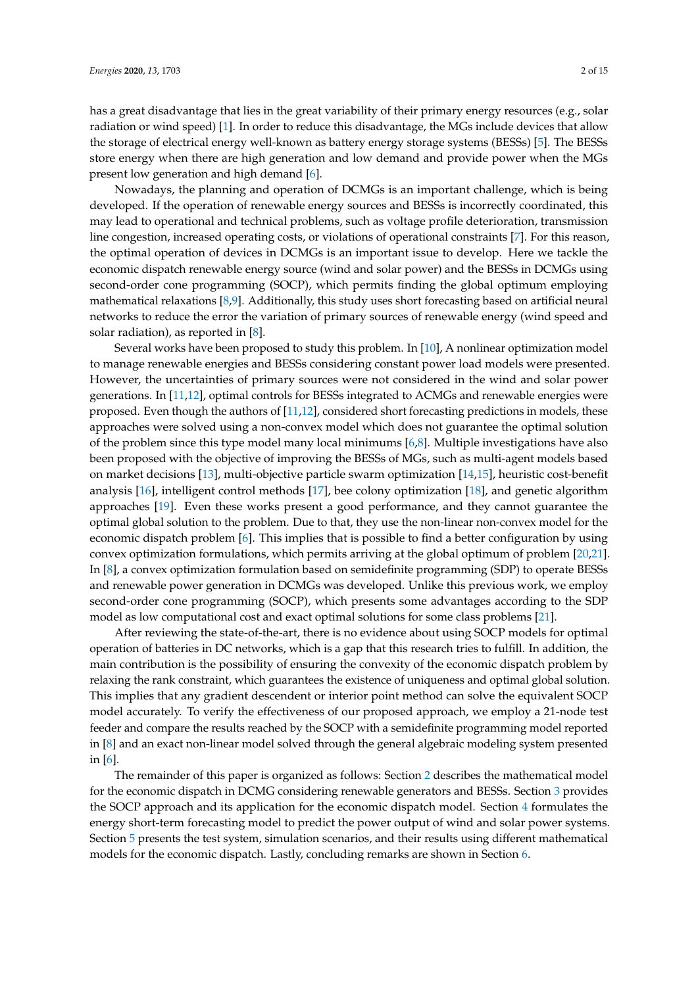has a great disadvantage that lies in the great variability of their primary energy resources (e.g., solar radiation or wind speed) [\[1\]](#page-13-0). In order to reduce this disadvantage, the MGs include devices that allow the storage of electrical energy well-known as battery energy storage systems (BESSs) [\[5\]](#page-13-4). The BESSs store energy when there are high generation and low demand and provide power when the MGs present low generation and high demand [\[6\]](#page-13-5).

Nowadays, the planning and operation of DCMGs is an important challenge, which is being developed. If the operation of renewable energy sources and BESSs is incorrectly coordinated, this may lead to operational and technical problems, such as voltage profile deterioration, transmission line congestion, increased operating costs, or violations of operational constraints [\[7\]](#page-13-6). For this reason, the optimal operation of devices in DCMGs is an important issue to develop. Here we tackle the economic dispatch renewable energy source (wind and solar power) and the BESSs in DCMGs using second-order cone programming (SOCP), which permits finding the global optimum employing mathematical relaxations [\[8](#page-13-7)[,9\]](#page-13-8). Additionally, this study uses short forecasting based on artificial neural networks to reduce the error the variation of primary sources of renewable energy (wind speed and solar radiation), as reported in [\[8\]](#page-13-7).

Several works have been proposed to study this problem. In [\[10\]](#page-13-9), A nonlinear optimization model to manage renewable energies and BESSs considering constant power load models were presented. However, the uncertainties of primary sources were not considered in the wind and solar power generations. In [\[11,](#page-13-10)[12\]](#page-13-11), optimal controls for BESSs integrated to ACMGs and renewable energies were proposed. Even though the authors of [\[11](#page-13-10)[,12\]](#page-13-11), considered short forecasting predictions in models, these approaches were solved using a non-convex model which does not guarantee the optimal solution of the problem since this type model many local minimums [\[6](#page-13-5)[,8\]](#page-13-7). Multiple investigations have also been proposed with the objective of improving the BESSs of MGs, such as multi-agent models based on market decisions [\[13\]](#page-13-12), multi-objective particle swarm optimization [\[14](#page-13-13)[,15\]](#page-14-0), heuristic cost-benefit analysis [\[16\]](#page-14-1), intelligent control methods [\[17\]](#page-14-2), bee colony optimization [\[18\]](#page-14-3), and genetic algorithm approaches [\[19\]](#page-14-4). Even these works present a good performance, and they cannot guarantee the optimal global solution to the problem. Due to that, they use the non-linear non-convex model for the economic dispatch problem [\[6\]](#page-13-5). This implies that is possible to find a better configuration by using convex optimization formulations, which permits arriving at the global optimum of problem [\[20,](#page-14-5)[21\]](#page-14-6). In [\[8\]](#page-13-7), a convex optimization formulation based on semidefinite programming (SDP) to operate BESSs and renewable power generation in DCMGs was developed. Unlike this previous work, we employ second-order cone programming (SOCP), which presents some advantages according to the SDP model as low computational cost and exact optimal solutions for some class problems [\[21\]](#page-14-6).

After reviewing the state-of-the-art, there is no evidence about using SOCP models for optimal operation of batteries in DC networks, which is a gap that this research tries to fulfill. In addition, the main contribution is the possibility of ensuring the convexity of the economic dispatch problem by relaxing the rank constraint, which guarantees the existence of uniqueness and optimal global solution. This implies that any gradient descendent or interior point method can solve the equivalent SOCP model accurately. To verify the effectiveness of our proposed approach, we employ a 21-node test feeder and compare the results reached by the SOCP with a semidefinite programming model reported in [\[8\]](#page-13-7) and an exact non-linear model solved through the general algebraic modeling system presented in [\[6\]](#page-13-5).

The remainder of this paper is organized as follows: Section [2](#page-2-0) describes the mathematical model for the economic dispatch in DCMG considering renewable generators and BESSs. Section [3](#page-3-0) provides the SOCP approach and its application for the economic dispatch model. Section [4](#page-4-0) formulates the energy short-term forecasting model to predict the power output of wind and solar power systems. Section [5](#page-7-0) presents the test system, simulation scenarios, and their results using different mathematical models for the economic dispatch. Lastly, concluding remarks are shown in Section [6.](#page-11-0)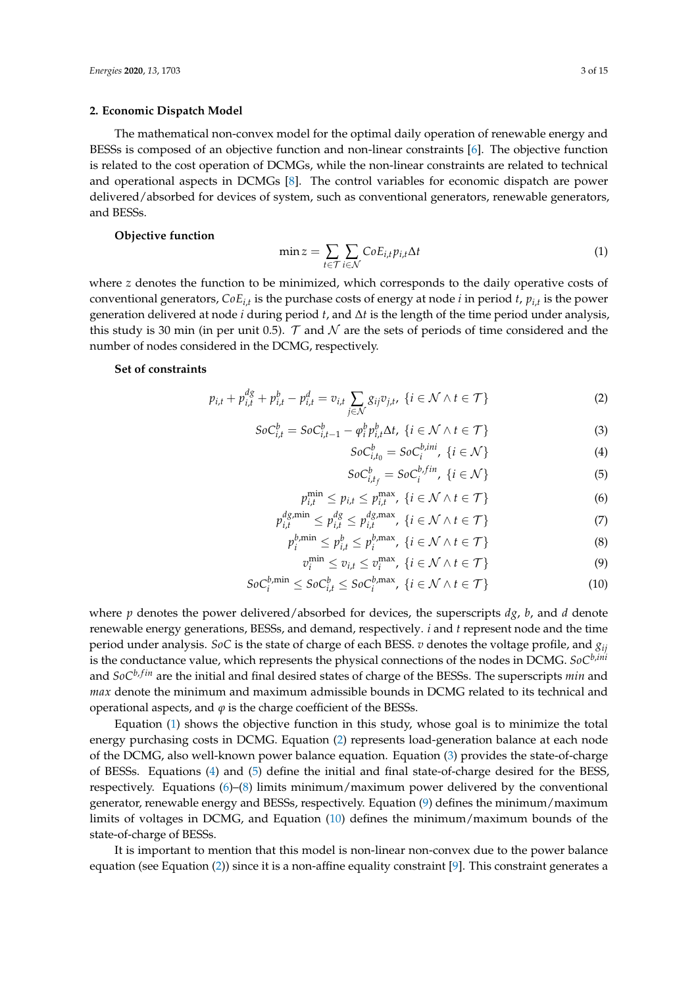## <span id="page-2-0"></span>**2. Economic Dispatch Model**

The mathematical non-convex model for the optimal daily operation of renewable energy and BESSs is composed of an objective function and non-linear constraints [\[6\]](#page-13-5). The objective function is related to the cost operation of DCMGs, while the non-linear constraints are related to technical and operational aspects in DCMGs [\[8\]](#page-13-7). The control variables for economic dispatch are power delivered/absorbed for devices of system, such as conventional generators, renewable generators, and BESSs.

## **Objective function**

<span id="page-2-1"></span>
$$
\min z = \sum_{t \in \mathcal{T}} \sum_{i \in \mathcal{N}} \mathcal{C} \circ E_{i,t} p_{i,t} \Delta t \tag{1}
$$

where *z* denotes the function to be minimized, which corresponds to the daily operative costs of conventional generators, *CoEi*,*<sup>t</sup>* is the purchase costs of energy at node *i* in period *t*, *pi*,*<sup>t</sup>* is the power generation delivered at node *i* during period *t*, and ∆*t* is the length of the time period under analysis, this study is 30 min (in per unit 0.5). T and N are the sets of periods of time considered and the number of nodes considered in the DCMG, respectively.

## **Set of constraints**

$$
p_{i,t} + p_{i,t}^{dg} + p_{i,t}^b - p_{i,t}^d = v_{i,t} \sum_{j \in \mathcal{N}} g_{ij} v_{j,t}, \ \{i \in \mathcal{N} \land t \in \mathcal{T}\}
$$
 (2)

$$
SoC_{i,t}^b = SoC_{i,t-1}^b - \varphi_i^b p_{i,t}^b \Delta t, \ \{i \in \mathcal{N} \land t \in \mathcal{T}\}\tag{3}
$$

<span id="page-2-6"></span><span id="page-2-5"></span><span id="page-2-4"></span><span id="page-2-3"></span><span id="page-2-2"></span>
$$
SoC_{i,t_0}^b = SoC_i^{b,ini}, \ \{i \in \mathcal{N}\}\tag{4}
$$

<span id="page-2-9"></span><span id="page-2-8"></span><span id="page-2-7"></span>
$$
SoC_{i,t_f}^b = SoC_i^{b,fin}, \ \{i \in \mathcal{N}\}\tag{5}
$$

$$
p_{i,t}^{\min} \le p_{i,t} \le p_{i,t}^{\max}, \ \{i \in \mathcal{N} \land t \in \mathcal{T}\} \tag{6}
$$

$$
p_{i,t}^{dg,\min} \le p_{i,t}^{dg} \le p_{i,t}^{dg,\max}, \ \{i \in \mathcal{N} \land t \in \mathcal{T}\} \tag{7}
$$

$$
p_i^{b,\min} \le p_{i,t}^b \le p_i^{b,\max}, \ \{i \in \mathcal{N} \land t \in \mathcal{T}\}
$$

$$
v_i^{\min} \le v_{i,t} \le v_i^{\max}, \ \{i \in \mathcal{N} \land t \in \mathcal{T}\}
$$
\n
$$
(9)
$$

$$
SoC_i^{b,\min} \le SoC_{i,t}^b \le SoC_i^{b,\max}, \ \{i \in \mathcal{N} \land t \in \mathcal{T}\} \tag{10}
$$

where *p* denotes the power delivered/absorbed for devices, the superscripts *dg*, *b*, and *d* denote renewable energy generations, BESSs, and demand, respectively. *i* and *t* represent node and the time period under analysis. *SoC* is the state of charge of each BESS. *v* denotes the voltage profile, and *gij* is the conductance value, which represents the physical connections of the nodes in DCMG. *SoCb*,*ini* and *SoC<sup>b, fin</sup>* are the initial and final desired states of charge of the BESSs. The superscripts *min* and *max* denote the minimum and maximum admissible bounds in DCMG related to its technical and operational aspects, and  $\varphi$  is the charge coefficient of the BESSs.

Equation [\(1\)](#page-2-1) shows the objective function in this study, whose goal is to minimize the total energy purchasing costs in DCMG. Equation [\(2\)](#page-2-2) represents load-generation balance at each node of the DCMG, also well-known power balance equation. Equation [\(3\)](#page-2-3) provides the state-of-charge of BESSs. Equations [\(4\)](#page-2-4) and [\(5\)](#page-2-5) define the initial and final state-of-charge desired for the BESS, respectively. Equations [\(6\)](#page-2-6)–[\(8\)](#page-2-7) limits minimum/maximum power delivered by the conventional generator, renewable energy and BESSs, respectively. Equation [\(9\)](#page-2-8) defines the minimum/maximum limits of voltages in DCMG, and Equation [\(10\)](#page-2-9) defines the minimum/maximum bounds of the state-of-charge of BESSs.

It is important to mention that this model is non-linear non-convex due to the power balance equation (see Equation [\(2\)](#page-2-2)) since it is a non-affine equality constraint [\[9\]](#page-13-8). This constraint generates a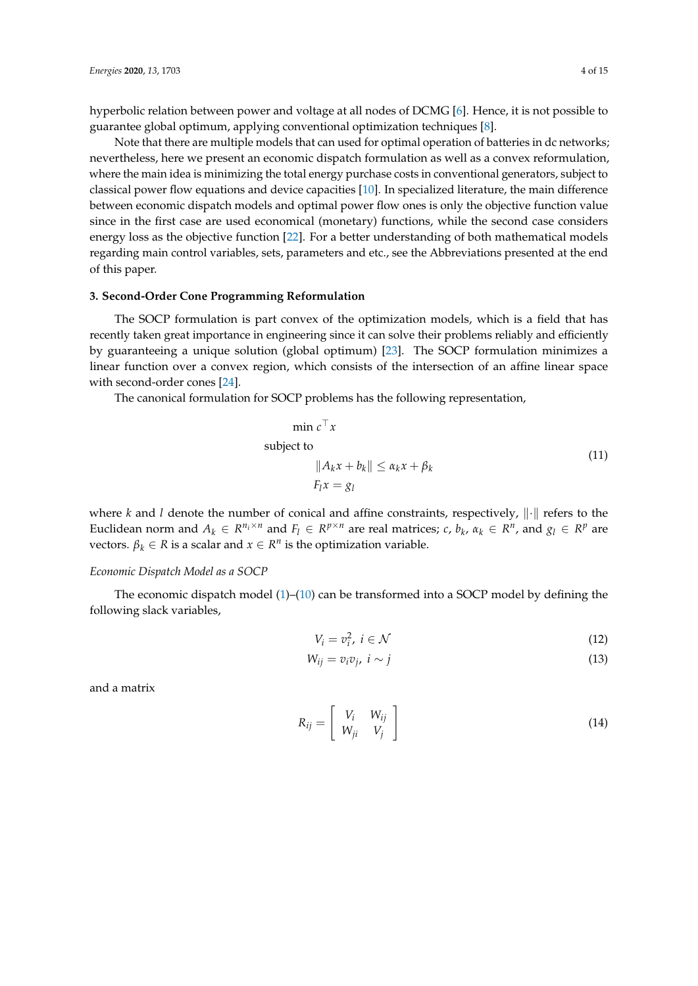hyperbolic relation between power and voltage at all nodes of DCMG [\[6\]](#page-13-5). Hence, it is not possible to guarantee global optimum, applying conventional optimization techniques [\[8\]](#page-13-7).

Note that there are multiple models that can used for optimal operation of batteries in dc networks; nevertheless, here we present an economic dispatch formulation as well as a convex reformulation, where the main idea is minimizing the total energy purchase costs in conventional generators, subject to classical power flow equations and device capacities [\[10\]](#page-13-9). In specialized literature, the main difference between economic dispatch models and optimal power flow ones is only the objective function value since in the first case are used economical (monetary) functions, while the second case considers energy loss as the objective function [\[22\]](#page-14-7). For a better understanding of both mathematical models regarding main control variables, sets, parameters and etc., see the Abbreviations presented at the end of this paper.

# <span id="page-3-0"></span>**3. Second-Order Cone Programming Reformulation**

The SOCP formulation is part convex of the optimization models, which is a field that has recently taken great importance in engineering since it can solve their problems reliably and efficiently by guaranteeing a unique solution (global optimum) [\[23\]](#page-14-8). The SOCP formulation minimizes a linear function over a convex region, which consists of the intersection of an affine linear space with second-order cones [\[24\]](#page-14-9).

The canonical formulation for SOCP problems has the following representation,

$$
\min c^{\top} x
$$
\nsubject to\n
$$
||A_k x + b_k|| \le \alpha_k x + \beta_k
$$
\n
$$
F_l x = g_l
$$
\n(11)

where *k* and *l* denote the number of conical and affine constraints, respectively,  $\|\cdot\|$  refers to the Euclidean norm and  $A_k \in R^{n_i \times n}$  and  $F_l \in R^{p \times n}$  are real matrices; c,  $b_k$ ,  $\alpha_k \in R^n$ , and  $g_l \in R^p$  are vectors.  $\beta_k \in R$  is a scalar and  $x \in R^n$  is the optimization variable.

## *Economic Dispatch Model as a SOCP*

The economic dispatch model [\(1\)](#page-2-1)–[\(10\)](#page-2-9) can be transformed into a SOCP model by defining the following slack variables,

$$
V_i = v_i^2, \ i \in \mathcal{N} \tag{12}
$$

$$
W_{ij} = v_i v_j, \ i \sim j \tag{13}
$$

and a matrix

$$
R_{ij} = \left[ \begin{array}{cc} V_i & W_{ij} \\ W_{ji} & V_j \end{array} \right] \tag{14}
$$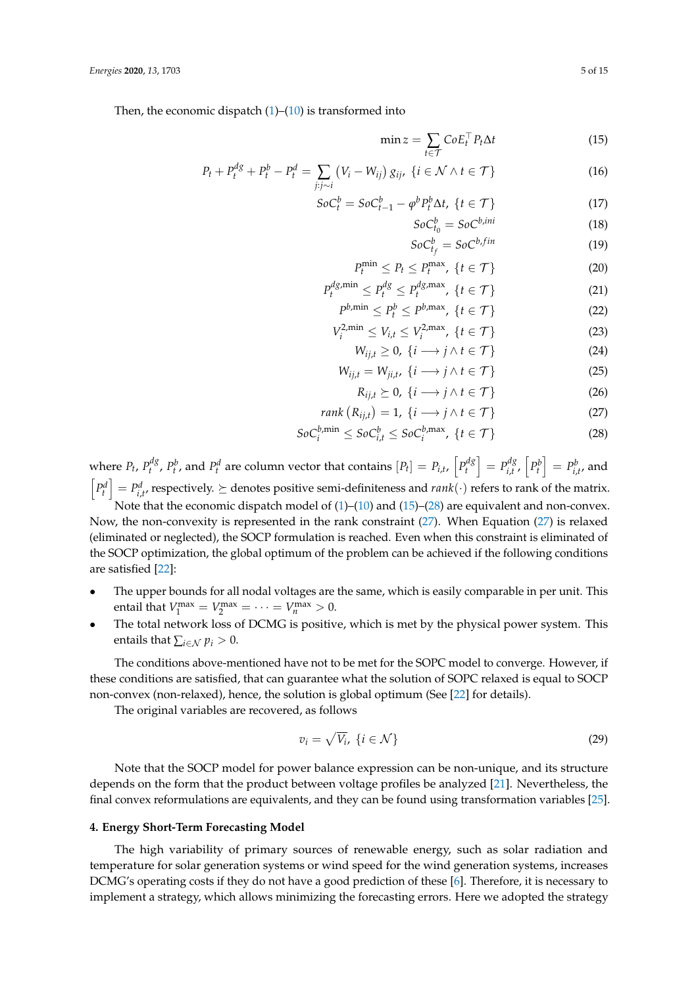Then, the economic dispatch  $(1)$ – $(10)$  is transformed into

<span id="page-4-1"></span>
$$
\min z = \sum_{t \in \mathcal{T}} CoE_t^{\top} P_t \Delta t \tag{15}
$$

$$
P_t + P_t^{dg} + P_t^b - P_t^d = \sum_{j:j \sim i} \left( V_i - W_{ij} \right) g_{ij}, \ \{ i \in \mathcal{N} \land t \in \mathcal{T} \}
$$
 (16)

$$
SoC_t^b = SoC_{t-1}^b - \varphi^b P_t^b \Delta t, \ \{t \in \mathcal{T}\}\tag{17}
$$

$$
SoC_{t_0}^b = SoC^{b,ini} \tag{18}
$$

$$
SoC_{t_f}^b = SoC^{b,fin} \tag{19}
$$

$$
P_t^{\min} \le P_t \le P_t^{\max}, \ \{t \in \mathcal{T}\} \tag{20}
$$

$$
P_t^{dg,\min} \le P_t^{dg} \le P_t^{dg,\max}, \ \{t \in \mathcal{T}\} \tag{21}
$$

$$
P^{b,\min} \le P_t^b \le P^{b,\max}, \ \{t \in \mathcal{T}\} \tag{22}
$$

$$
V_i^{2,\min} \le V_{i,t} \le V_i^{2,\max}, \ \{t \in \mathcal{T}\}
$$

$$
W_{ij,t} \geq 0, \ \{i \longrightarrow j \land t \in \mathcal{T}\}\tag{24}
$$

$$
W_{ij,t} = W_{ji,t}, \ \{i \longrightarrow j \land t \in \mathcal{T}\} \tag{25}
$$

<span id="page-4-3"></span><span id="page-4-2"></span>
$$
R_{ij,t} \succeq 0, \ \{i \longrightarrow j \land t \in \mathcal{T}\}\tag{26}
$$

$$
rank(R_{ij,t}) = 1, \{i \longrightarrow j \land t \in \mathcal{T}\}
$$
\n
$$
(27)
$$

$$
SoC_i^{b,\min} \le SoC_{i,t}^b \le SoC_i^{b,\max}, \ \{t \in \mathcal{T}\}
$$
 (28)

where  $P_t$ ,  $P_t^{dg}$  $P_t^d P$ ,  $P_t^b$ , and  $P_t^d$  are column vector that contains  $[P_t] = P_{i,t}$ ,  $\left[ P_t^{dg} \right]$  $\left[ \begin{array}{c} p^{dg} \\ t \end{array} \right] = P^{dg}_{i,t}$  $P_{i,t}^{dg}$ ,  $\left[ P_t^b \right] = P_{i,t'}^b$  and  $\left[P_t^d\right] = P_{i,t'}^d$ , respectively.  $\succeq$  denotes positive semi-definiteness and  $rank(\cdot)$  refers to rank of the matrix. Note that the economic dispatch model of  $(1)$ – $(10)$  and  $(15)$ – $(28)$  are equivalent and non-convex.

Now, the non-convexity is represented in the rank constraint [\(27\)](#page-4-3). When Equation [\(27\)](#page-4-3) is relaxed (eliminated or neglected), the SOCP formulation is reached. Even when this constraint is eliminated of the SOCP optimization, the global optimum of the problem can be achieved if the following conditions are satisfied [\[22\]](#page-14-7):

- The upper bounds for all nodal voltages are the same, which is easily comparable in per unit. This entail that  $V_1^{\max} = V_2^{\max} = \cdots = V_n^{\max} > 0$ .
- The total network loss of DCMG is positive, which is met by the physical power system. This entails that  $\sum_{i \in \mathcal{N}} p_i > 0$ .

The conditions above-mentioned have not to be met for the SOPC model to converge. However, if these conditions are satisfied, that can guarantee what the solution of SOPC relaxed is equal to SOCP non-convex (non-relaxed), hence, the solution is global optimum (See [\[22\]](#page-14-7) for details).

The original variables are recovered, as follows

$$
v_i = \sqrt{V_i}, \ \{i \in \mathcal{N}\}\tag{29}
$$

Note that the SOCP model for power balance expression can be non-unique, and its structure depends on the form that the product between voltage profiles be analyzed [\[21\]](#page-14-6). Nevertheless, the final convex reformulations are equivalents, and they can be found using transformation variables [\[25\]](#page-14-10).

## <span id="page-4-0"></span>**4. Energy Short-Term Forecasting Model**

The high variability of primary sources of renewable energy, such as solar radiation and temperature for solar generation systems or wind speed for the wind generation systems, increases DCMG's operating costs if they do not have a good prediction of these [\[6\]](#page-13-5). Therefore, it is necessary to implement a strategy, which allows minimizing the forecasting errors. Here we adopted the strategy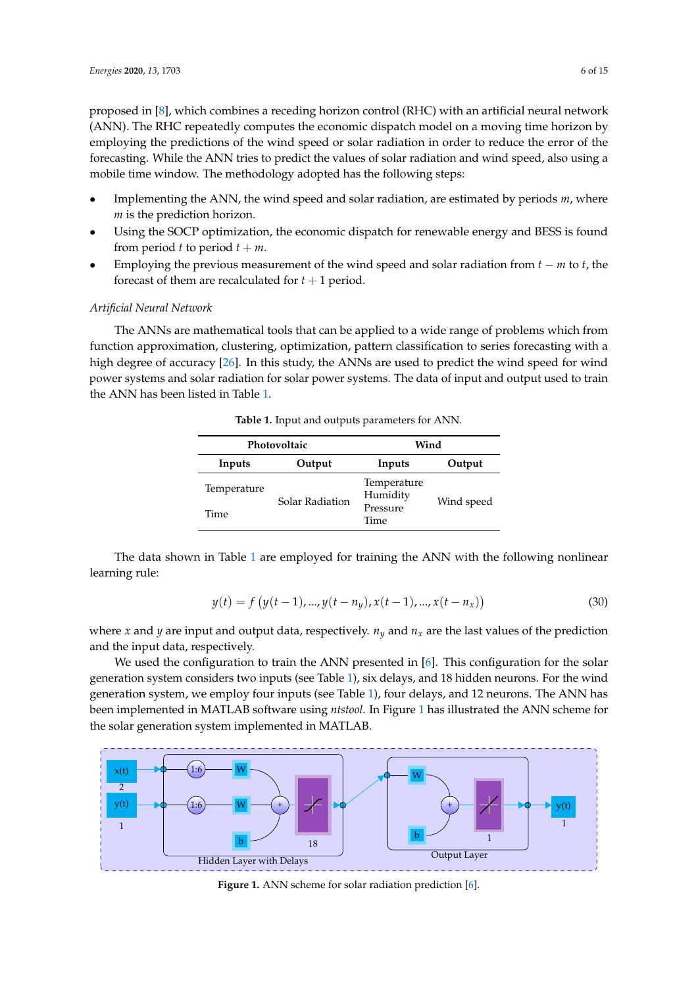proposed in [\[8\]](#page-13-7), which combines a receding horizon control (RHC) with an artificial neural network (ANN). The RHC repeatedly computes the economic dispatch model on a moving time horizon by employing the predictions of the wind speed or solar radiation in order to reduce the error of the forecasting. While the ANN tries to predict the values of solar radiation and wind speed, also using a mobile time window. The methodology adopted has the following steps:

- Implementing the ANN, the wind speed and solar radiation, are estimated by periods *m*, where *m* is the prediction horizon.
- Using the SOCP optimization, the economic dispatch for renewable energy and BESS is found from period *t* to period  $t + m$ .
- Employing the previous measurement of the wind speed and solar radiation from *t* − *m* to *t*, the forecast of them are recalculated for  $t + 1$  period.

## *Artificial Neural Network*

<span id="page-5-0"></span>The ANNs are mathematical tools that can be applied to a wide range of problems which from function approximation, clustering, optimization, pattern classification to series forecasting with a high degree of accuracy [\[26\]](#page-14-11). In this study, the ANNs are used to predict the wind speed for wind power systems and solar radiation for solar power systems. The data of input and output used to train the ANN has been listed in Table [1.](#page-5-0)

**Table 1.** Input and outputs parameters for ANN.

|             | Photovoltaic    | Wind                    |            |  |
|-------------|-----------------|-------------------------|------------|--|
| Inputs      | Output          | Inputs                  | Output     |  |
| Temperature | Solar Radiation | Temperature<br>Humidity | Wind speed |  |
| Time        |                 | Pressure<br>Time        |            |  |

The data shown in Table [1](#page-5-0) are employed for training the ANN with the following nonlinear learning rule:

$$
y(t) = f(y(t-1), ..., y(t-ny), x(t-1), ..., x(t-nx))
$$
\n(30)

where *x* and *y* are input and output data, respectively.  $n_y$  and  $n_x$  are the last values of the prediction and the input data, respectively.

We used the configuration to train the ANN presented in  $[6]$ . This configuration for the solar generation system considers two inputs (see Table [1\)](#page-5-0), six delays, and 18 hidden neurons. For the wind generation system, we employ four inputs (see Table [1\)](#page-5-0), four delays, and 12 neurons. The ANN has been implemented in MATLAB software using *ntstool*. In Figure [1](#page-5-1) has illustrated the ANN scheme for the solar generation system implemented in MATLAB.

<span id="page-5-1"></span>

Figure 1. ANN scheme for solar radiation prediction [\[6\]](#page-13-5).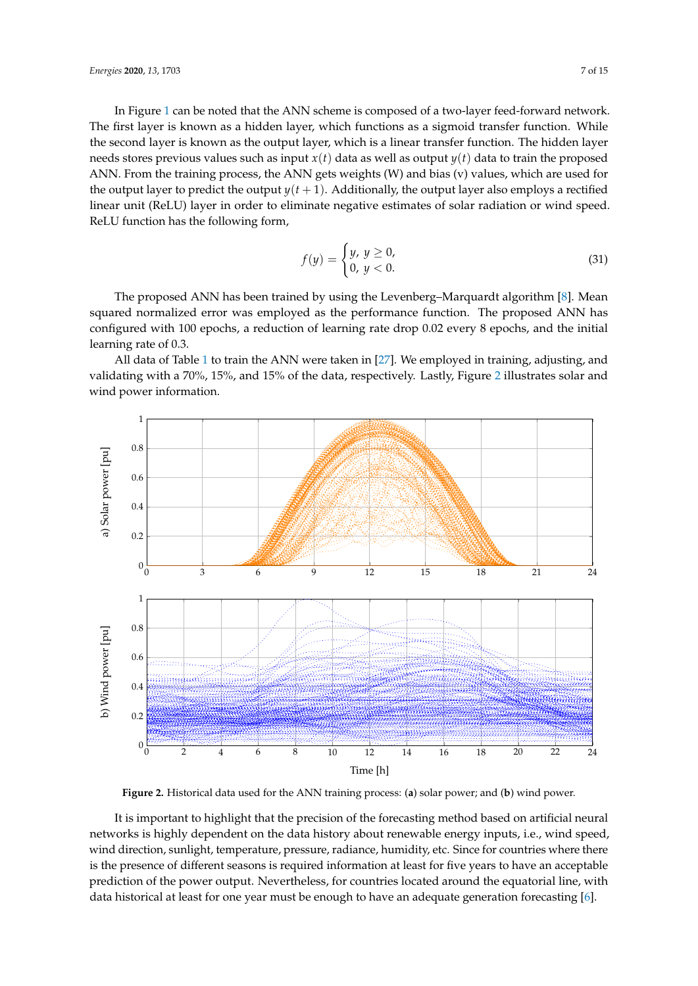In Figure [1](#page-5-1) can be noted that the ANN scheme is composed of a two-layer feed-forward network. The first layer is known as a hidden layer, which functions as a sigmoid transfer function. While the second layer is known as the output layer, which is a linear transfer function. The hidden layer needs stores previous values such as input *x*(*t*) data as well as output *y*(*t*) data to train the proposed ANN. From the training process, the ANN gets weights (W) and bias (v) values, which are used for the output layer to predict the output  $y(t+1)$ . Additionally, the output layer also employs a rectified linear unit (ReLU) layer in order to eliminate negative estimates of solar radiation or wind speed. ReLU function has the following form,

$$
f(y) = \begin{cases} y, & y \ge 0, \\ 0, & y < 0. \end{cases}
$$
 (31)

The proposed ANN has been trained by using the Levenberg–Marquardt algorithm [\[8\]](#page-13-7). Mean squared normalized error was employed as the performance function. The proposed ANN has configured with 100 epochs, a reduction of learning rate drop 0.02 every 8 epochs, and the initial learning rate of 0.3.

All data of Table [1](#page-5-0) to train the ANN were taken in [\[27\]](#page-14-12). We employed in training, adjusting, and validating with a 70%, 15%, and 15% of the data, respectively. Lastly, Figure [2](#page-6-0) illustrates solar and wind power information.

<span id="page-6-0"></span>

**Figure 2.** Historical data used for the ANN training process: (**a**) solar power; and (**b**) wind power.

It is important to highlight that the precision of the forecasting method based on artificial neural networks is highly dependent on the data history about renewable energy inputs, i.e., wind speed, wind direction, sunlight, temperature, pressure, radiance, humidity, etc. Since for countries where there is the presence of different seasons is required information at least for five years to have an acceptable prediction of the power output. Nevertheless, for countries located around the equatorial line, with data historical at least for one year must be enough to have an adequate generation forecasting [\[6\]](#page-13-5).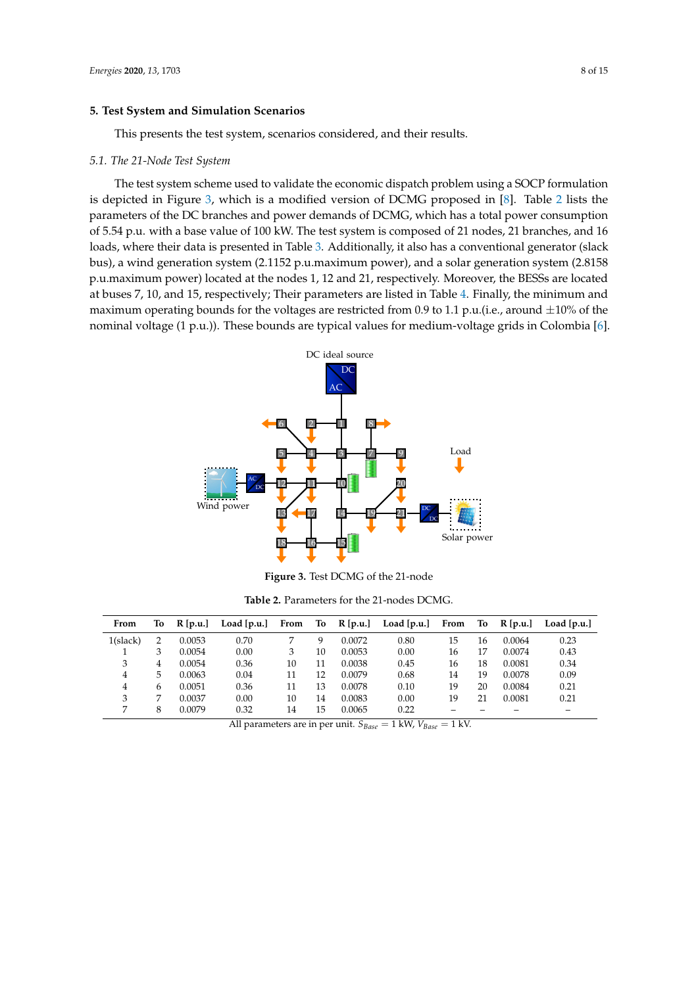## <span id="page-7-0"></span>**5. Test System and Simulation Scenarios**

This presents the test system, scenarios considered, and their results.

#### *5.1. The 21-Node Test System*

The test system scheme used to validate the economic dispatch problem using a SOCP formulation is depicted in Figure [3,](#page-7-1) which is a modified version of DCMG proposed in [\[8\]](#page-13-7). Table [2](#page-7-2) lists the parameters of the DC branches and power demands of DCMG, which has a total power consumption of 5.54 p.u. with a base value of 100 kW. The test system is composed of 21 nodes, 21 branches, and 16 loads, where their data is presented in Table [3.](#page-8-0) Additionally, it also has a conventional generator (slack bus), a wind generation system (2.1152 p.u.maximum power), and a solar generation system (2.8158 p.u.maximum power) located at the nodes 1, 12 and 21, respectively. Moreover, the BESSs are located at buses 7, 10, and 15, respectively; Their parameters are listed in Table [4.](#page-8-1) Finally, the minimum and maximum operating bounds for the voltages are restricted from 0.9 to 1.1 p.u.(i.e., around  $\pm 10$ % of the nominal voltage (1 p.u.)). These bounds are typical values for medium-voltage grids in Colombia [\[6\]](#page-13-5).

<span id="page-7-1"></span>

**Figure 3.** Test DCMG of the 21-node

**Table 2.** Parameters for the 21-nodes DCMG.

<span id="page-7-2"></span>

| From     | To             | $R$ [p.u.] | Load $[p.u.]$ | From | To |        | $R[p.u.]$ Load $[p.u.]$ | From | To | $R$ [p.u.] | Load [p.u.] |
|----------|----------------|------------|---------------|------|----|--------|-------------------------|------|----|------------|-------------|
| 1(slack) | $\overline{2}$ | 0.0053     | 0.70          |      | q  | 0.0072 | 0.80                    | 15   | 16 | 0.0064     | 0.23        |
|          | 3              | 0.0054     | 0.00          | 3    | 10 | 0.0053 | 0.00                    | 16   | 17 | 0.0074     | 0.43        |
| 3        | 4              | 0.0054     | 0.36          | 10   | 11 | 0.0038 | 0.45                    | 16   | 18 | 0.0081     | 0.34        |
| 4        | 5              | 0.0063     | 0.04          | 11   | 12 | 0.0079 | 0.68                    | 14   | 19 | 0.0078     | 0.09        |
| 4        | 6              | 0.0051     | 0.36          | 11   | 13 | 0.0078 | 0.10                    | 19   | 20 | 0.0084     | 0.21        |
| 3        | 7              | 0.0037     | 0.00          | 10   | 14 | 0.0083 | 0.00                    | 19   | 21 | 0.0081     | 0.21        |
|          | 8              | 0.0079     | 0.32          | 14   | 15 | 0.0065 | 0.22                    |      |    |            | -           |

All parameters are in per unit.  $S_{Base} = 1 \text{ kW}, V_{Base} = 1 \text{ kW}$ .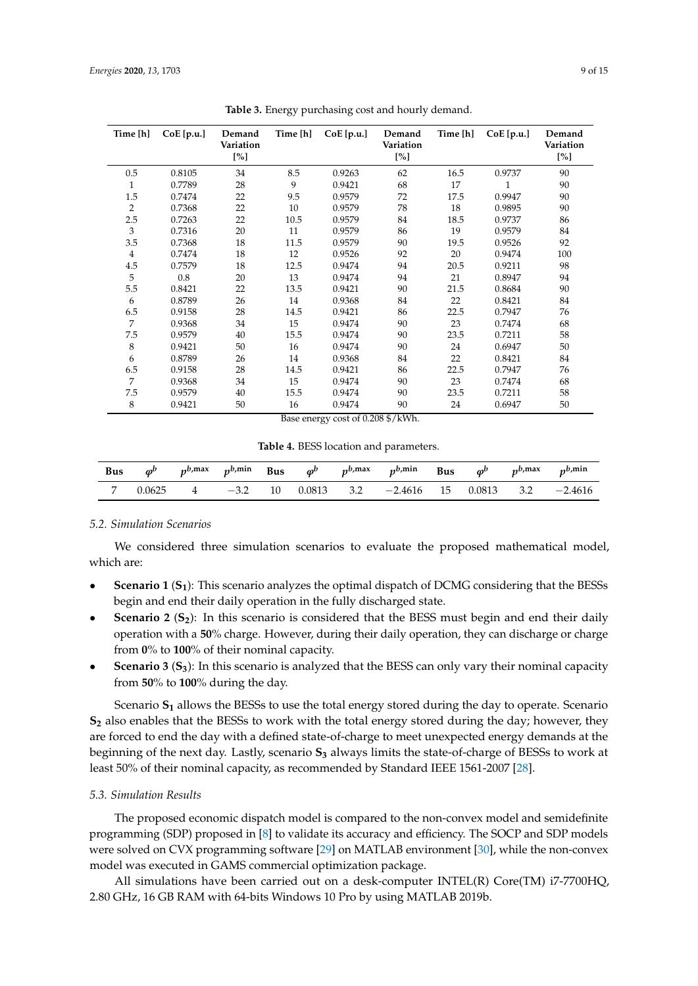<span id="page-8-0"></span>

| Time [h]       | CoE[p.u.] | Demand<br>Variation<br>[%] | Time [h] | CoE[p.u.] | Demand<br>Variation<br>[%] | Time [h] | CoE[p.u.]    | Demand<br>Variation<br>$[\%]$ |
|----------------|-----------|----------------------------|----------|-----------|----------------------------|----------|--------------|-------------------------------|
| 0.5            | 0.8105    | 34                         | 8.5      | 0.9263    | 62                         | 16.5     | 0.9737       | 90                            |
| $\mathbf{1}$   | 0.7789    | 28                         | 9        | 0.9421    | 68                         | 17       | $\mathbf{1}$ | 90                            |
| 1.5            | 0.7474    | 22                         | 9.5      | 0.9579    | 72                         | 17.5     | 0.9947       | 90                            |
| 2              | 0.7368    | 22                         | 10       | 0.9579    | 78                         | 18       | 0.9895       | 90                            |
| 2.5            | 0.7263    | 22                         | 10.5     | 0.9579    | 84                         | 18.5     | 0.9737       | 86                            |
| 3              | 0.7316    | 20                         | 11       | 0.9579    | 86                         | 19       | 0.9579       | 84                            |
| 3.5            | 0.7368    | 18                         | 11.5     | 0.9579    | 90                         | 19.5     | 0.9526       | 92                            |
| $\overline{4}$ | 0.7474    | 18                         | 12       | 0.9526    | 92                         | 20       | 0.9474       | 100                           |
| 4.5            | 0.7579    | 18                         | 12.5     | 0.9474    | 94                         | 20.5     | 0.9211       | 98                            |
| 5              | 0.8       | 20                         | 13       | 0.9474    | 94                         | 21       | 0.8947       | 94                            |
| 5.5            | 0.8421    | 22                         | 13.5     | 0.9421    | 90                         | 21.5     | 0.8684       | 90                            |
| 6              | 0.8789    | 26                         | 14       | 0.9368    | 84                         | 22       | 0.8421       | 84                            |
| 6.5            | 0.9158    | 28                         | 14.5     | 0.9421    | 86                         | 22.5     | 0.7947       | 76                            |
| $\overline{7}$ | 0.9368    | 34                         | 15       | 0.9474    | 90                         | 23       | 0.7474       | 68                            |
| 7.5            | 0.9579    | 40                         | 15.5     | 0.9474    | 90                         | 23.5     | 0.7211       | 58                            |
| 8              | 0.9421    | 50                         | 16       | 0.9474    | 90                         | 24       | 0.6947       | 50                            |
| 6              | 0.8789    | 26                         | 14       | 0.9368    | 84                         | 22       | 0.8421       | 84                            |
| 6.5            | 0.9158    | 28                         | 14.5     | 0.9421    | 86                         | 22.5     | 0.7947       | 76                            |
| $\overline{7}$ | 0.9368    | 34                         | 15       | 0.9474    | 90                         | 23       | 0.7474       | 68                            |
| 7.5            | 0.9579    | 40                         | 15.5     | 0.9474    | 90                         | 23.5     | 0.7211       | 58                            |
| 8              | 0.9421    | 50                         | 16       | 0.9474    | 90                         | 24       | 0.6947       | 50                            |

**Table 3.** Energy purchasing cost and hourly demand.

Base energy cost of 0.208 \$/kWh.

**Table 4.** BESS location and parameters.

<span id="page-8-1"></span>

|        |          |           |  | Bus $\varphi^b$ $p^{b,\text{max}}$ $p^{b,\text{min}}$ Bus $\varphi^b$ $p^{b,\text{max}}$ $p^{b,\text{min}}$ Bus $\varphi^b$ $p^{b,\text{max}}$ $p^{b,\text{min}}$ |  |           |
|--------|----------|-----------|--|-------------------------------------------------------------------------------------------------------------------------------------------------------------------|--|-----------|
| 0.0625 | $\sim$ 4 | $-3.2$ 10 |  | $0.0813$ $3.2$ $-2.4616$ $15$ $0.0813$ $3.2$                                                                                                                      |  | $-2.4616$ |

# <span id="page-8-2"></span>*5.2. Simulation Scenarios*

We considered three simulation scenarios to evaluate the proposed mathematical model, which are:

- **Scenario 1** (**S1**): This scenario analyzes the optimal dispatch of DCMG considering that the BESSs begin and end their daily operation in the fully discharged state.
- **Scenario 2** (**S2**): In this scenario is considered that the BESS must begin and end their daily operation with a **50**% charge. However, during their daily operation, they can discharge or charge from **0**% to **100**% of their nominal capacity.
- **Scenario 3** (**S3**): In this scenario is analyzed that the BESS can only vary their nominal capacity from **50**% to **100**% during the day.

Scenario **S<sup>1</sup>** allows the BESSs to use the total energy stored during the day to operate. Scenario **S<sup>2</sup>** also enables that the BESSs to work with the total energy stored during the day; however, they are forced to end the day with a defined state-of-charge to meet unexpected energy demands at the beginning of the next day. Lastly, scenario **S<sup>3</sup>** always limits the state-of-charge of BESSs to work at least 50% of their nominal capacity, as recommended by Standard IEEE 1561-2007 [\[28\]](#page-14-13).

#### *5.3. Simulation Results*

The proposed economic dispatch model is compared to the non-convex model and semidefinite programming (SDP) proposed in [\[8\]](#page-13-7) to validate its accuracy and efficiency. The SOCP and SDP models were solved on CVX programming software [\[29\]](#page-14-14) on MATLAB environment [\[30\]](#page-14-15), while the non-convex model was executed in GAMS commercial optimization package.

All simulations have been carried out on a desk-computer INTEL(R) Core(TM) i7-7700HQ, 2.80 GHz, 16 GB RAM with 64-bits Windows 10 Pro by using MATLAB 2019b.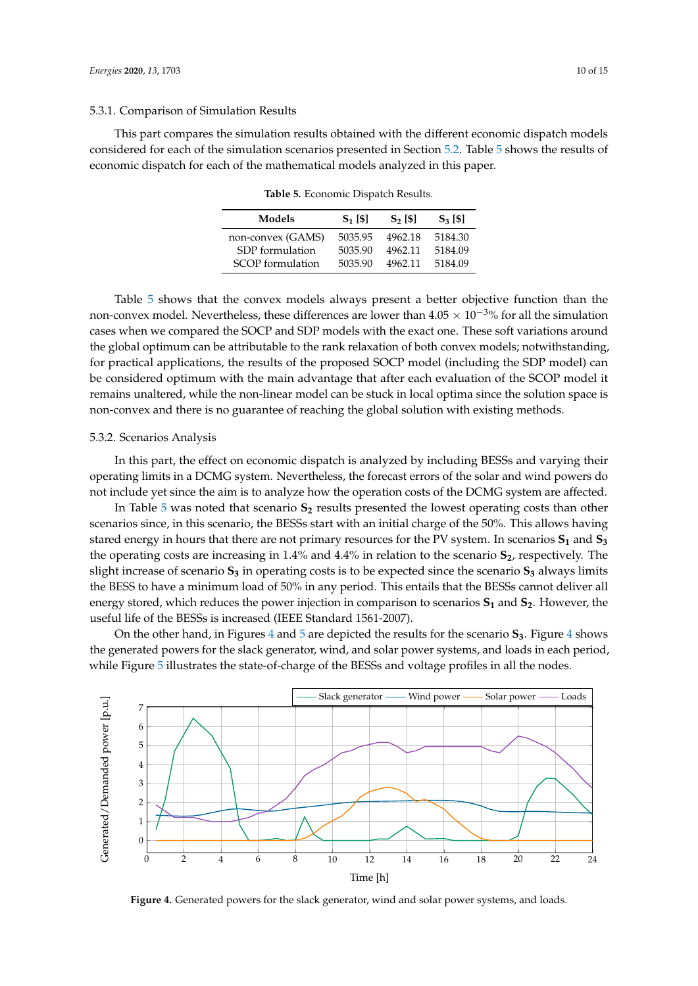#### 5.3.1. Comparison of Simulation Results

<span id="page-9-0"></span>This part compares the simulation results obtained with the different economic dispatch models considered for each of the simulation scenarios presented in Section [5.2.](#page-8-2) Table [5](#page-9-0) shows the results of economic dispatch for each of the mathematical models analyzed in this paper.

**Table 5.** Economic Dispatch Results.

| Models            | $S_1$ [\$] | $S2$ [\$] | $S_3$ [\$] |
|-------------------|------------|-----------|------------|
| non-convex (GAMS) | 5035.95    | 4962.18   | 5184.30    |
| SDP formulation   | 5035.90    | 4962.11   | 5184.09    |
| SCOP formulation  | 5035.90    | 4962.11   | 5184.09    |

Table [5](#page-9-0) shows that the convex models always present a better objective function than the non-convex model. Nevertheless, these differences are lower than  $4.05 \times 10^{-3}$ % for all the simulation cases when we compared the SOCP and SDP models with the exact one. These soft variations around the global optimum can be attributable to the rank relaxation of both convex models; notwithstanding, for practical applications, the results of the proposed SOCP model (including the SDP model) can be considered optimum with the main advantage that after each evaluation of the SCOP model it remains unaltered, while the non-linear model can be stuck in local optima since the solution space is non-convex and there is no guarantee of reaching the global solution with existing methods.

#### 5.3.2. Scenarios Analysis

In this part, the effect on economic dispatch is analyzed by including BESSs and varying their operating limits in a DCMG system. Nevertheless, the forecast errors of the solar and wind powers do not include yet since the aim is to analyze how the operation costs of the DCMG system are affected.

In Table [5](#page-9-0) was noted that scenario **S<sup>2</sup>** results presented the lowest operating costs than other scenarios since, in this scenario, the BESSs start with an initial charge of the 50%. This allows having stared energy in hours that there are not primary resources for the PV system. In scenarios **S<sup>1</sup>** and **S<sup>3</sup>** the operating costs are increasing in 1.4% and 4.4% in relation to the scenario **S2**, respectively. The slight increase of scenario **S<sup>3</sup>** in operating costs is to be expected since the scenario **S<sup>3</sup>** always limits the BESS to have a minimum load of 50% in any period. This entails that the BESSs cannot deliver all energy stored, which reduces the power injection in comparison to scenarios **S<sup>1</sup>** and **S2**. However, the useful life of the BESSs is increased (IEEE Standard 1561-2007).

On the other hand, in Figures [4](#page-9-1) and [5](#page-10-0) are depicted the results for the scenario **S3**. Figure [4](#page-9-1) shows the generated powers for the slack generator, wind, and solar power systems, and loads in each period, while Figure [5](#page-10-0) illustrates the state-of-charge of the BESSs and voltage profiles in all the nodes.

<span id="page-9-1"></span>

Figure 4. Generated powers for the slack generator, wind and solar power systems, and loads.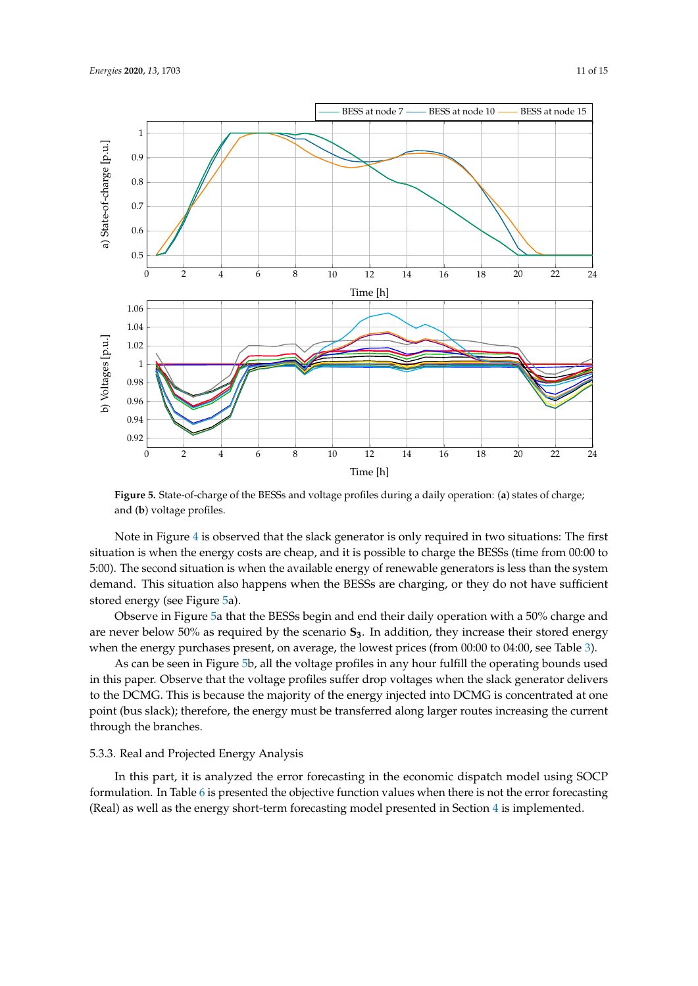<span id="page-10-0"></span>

**Figure 5.** State-of-charge of the BESSs and voltage profiles during a daily operation: (**a**) states of charge; and (**b**) voltage profiles.

Note in Figure [4](#page-9-1) is observed that the slack generator is only required in two situations: The first situation is when the energy costs are cheap, and it is possible to charge the BESSs (time from 00:00 to 5:00). The second situation is when the available energy of renewable generators is less than the system demand. This situation also happens when the BESSs are charging, or they do not have sufficient stored energy (see Figure [5a](#page-10-0)).

Observe in Figure [5a](#page-10-0) that the BESSs begin and end their daily operation with a 50% charge and are never below 50% as required by the scenario **S3**. In addition, they increase their stored energy when the energy purchases present, on average, the lowest prices (from 00:00 to 04:00, see Table [3\)](#page-8-0).

As can be seen in Figure [5b](#page-10-0), all the voltage profiles in any hour fulfill the operating bounds used in this paper. Observe that the voltage profiles suffer drop voltages when the slack generator delivers to the DCMG. This is because the majority of the energy injected into DCMG is concentrated at one point (bus slack); therefore, the energy must be transferred along larger routes increasing the current through the branches.

## 5.3.3. Real and Projected Energy Analysis

In this part, it is analyzed the error forecasting in the economic dispatch model using SOCP formulation. In Table [6](#page-11-1) is presented the objective function values when there is not the error forecasting (Real) as well as the energy short-term forecasting model presented in Section [4](#page-4-0) is implemented.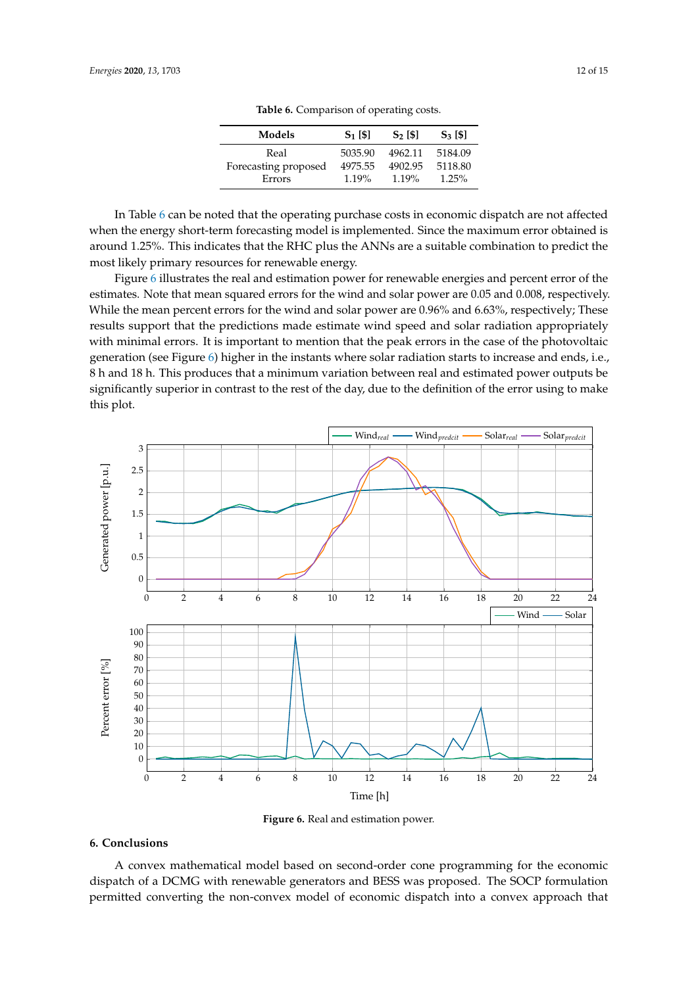| Models               | $S_1$ [\$] | $S2$ [\$] | $S_3$ [\$] |
|----------------------|------------|-----------|------------|
| Real                 | 5035.90    | 4962.11   | 5184.09    |
| Forecasting proposed | 4975.55    | 4902.95   | 5118.80    |
| Errors               | $1.19\%$   | $1.19\%$  | $1.25\%$   |

**Table 6.** Comparison of operating costs.

<span id="page-11-1"></span>In Table [6](#page-11-1) can be noted that the operating purchase costs in economic dispatch are not affected when the energy short-term forecasting model is implemented. Since the maximum error obtained is around 1.25%. This indicates that the RHC plus the ANNs are a suitable combination to predict the most likely primary resources for renewable energy.

Figure [6](#page-11-2) illustrates the real and estimation power for renewable energies and percent error of the estimates. Note that mean squared errors for the wind and solar power are 0.05 and 0.008, respectively. While the mean percent errors for the wind and solar power are 0.96% and 6.63%, respectively; These results support that the predictions made estimate wind speed and solar radiation appropriately with minimal errors. It is important to mention that the peak errors in the case of the photovoltaic generation (see Figure [6\)](#page-11-2) higher in the instants where solar radiation starts to increase and ends, i.e., 8 h and 18 h. This produces that a minimum variation between real and estimated power outputs be significantly superior in contrast to the rest of the day, due to the definition of the error using to make this plot.

<span id="page-11-2"></span>

**Figure 6.** Real and estimation power.

# <span id="page-11-0"></span>**6. Conclusions**

A convex mathematical model based on second-order cone programming for the economic dispatch of a DCMG with renewable generators and BESS was proposed. The SOCP formulation permitted converting the non-convex model of economic dispatch into a convex approach that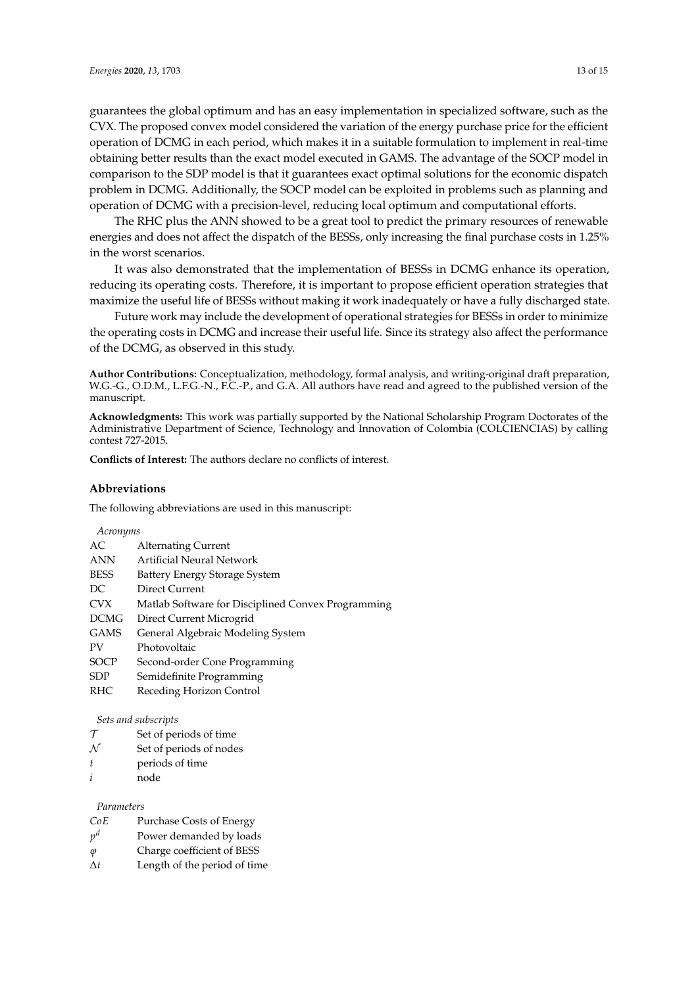guarantees the global optimum and has an easy implementation in specialized software, such as the CVX. The proposed convex model considered the variation of the energy purchase price for the efficient operation of DCMG in each period, which makes it in a suitable formulation to implement in real-time obtaining better results than the exact model executed in GAMS. The advantage of the SOCP model in comparison to the SDP model is that it guarantees exact optimal solutions for the economic dispatch problem in DCMG. Additionally, the SOCP model can be exploited in problems such as planning and operation of DCMG with a precision-level, reducing local optimum and computational efforts.

The RHC plus the ANN showed to be a great tool to predict the primary resources of renewable energies and does not affect the dispatch of the BESSs, only increasing the final purchase costs in 1.25% in the worst scenarios.

It was also demonstrated that the implementation of BESSs in DCMG enhance its operation, reducing its operating costs. Therefore, it is important to propose efficient operation strategies that maximize the useful life of BESSs without making it work inadequately or have a fully discharged state.

Future work may include the development of operational strategies for BESSs in order to minimize the operating costs in DCMG and increase their useful life. Since its strategy also affect the performance of the DCMG, as observed in this study.

**Author Contributions:** Conceptualization, methodology, formal analysis, and writing-original draft preparation, W.G.-G., O.D.M., L.F.G.-N., F.C.-P., and G.A. All authors have read and agreed to the published version of the manuscript.

**Acknowledgments:** This work was partially supported by the National Scholarship Program Doctorates of the Administrative Department of Science, Technology and Innovation of Colombia (COLCIENCIAS) by calling contest 727-2015.

**Conflicts of Interest:** The authors declare no conflicts of interest.

#### **Abbreviations**

The following abbreviations are used in this manuscript:

#### *Acronyms*

| АC          | <b>Alternating Current</b>                         |
|-------------|----------------------------------------------------|
| ANN         | Artificial Neural Network                          |
| <b>BESS</b> | Battery Energy Storage System                      |
| DС          | Direct Current                                     |
| CVX         | Matlab Software for Disciplined Convex Programming |
| DCMG        | Direct Current Microgrid                           |
| GAMS        | General Algebraic Modeling System                  |
| PV          | Photovoltaic                                       |
| SOCP        | Second-order Cone Programming                      |
| SDP         | Semidefinite Programming                           |
| RHC         | Receding Horizon Control                           |

#### *Sets and subscripts*

- $\tau$  Set of periods of time
- $N$  Set of periods of nodes
- *t* periods of time
- *i* node

#### *Parameters*

- *CoE* Purchase Costs of Energy
- *p* Power demanded by loads
- *ϕ* Charge coefficient of BESS
- ∆*t* Length of the period of time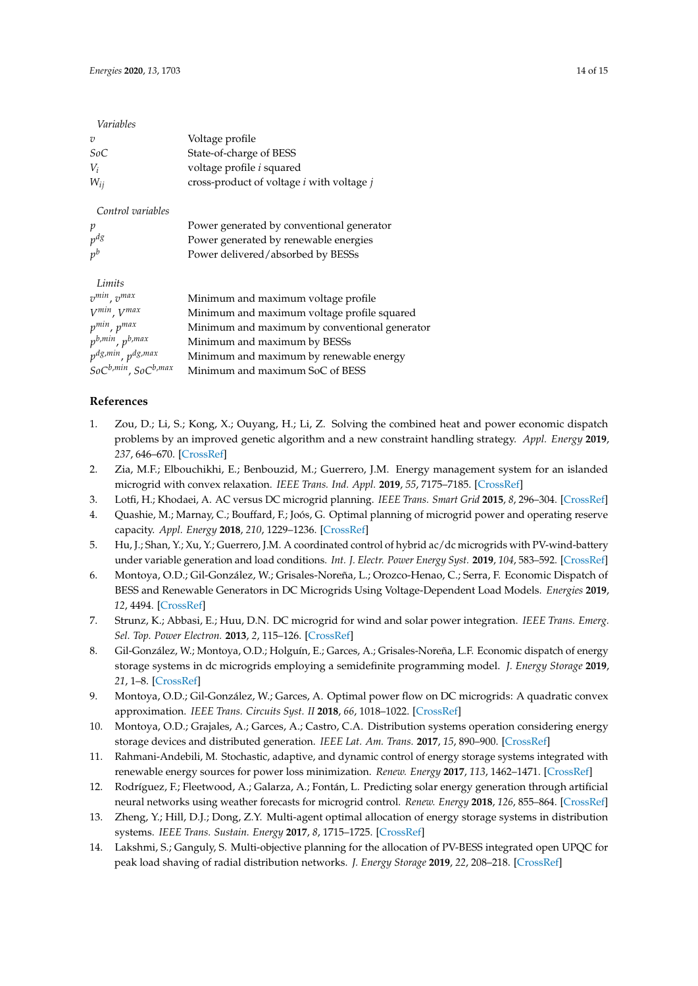| Variables                                 |                                                         |
|-------------------------------------------|---------------------------------------------------------|
| $\overline{v}$                            | Voltage profile                                         |
| SoC                                       | State-of-charge of BESS                                 |
| $V_i$                                     | voltage profile <i>i</i> squared                        |
| $W_{ij}$                                  | cross-product of voltage <i>i</i> with voltage <i>j</i> |
| Control variables                         |                                                         |
| p                                         | Power generated by conventional generator               |
| $p^{dg}$                                  | Power generated by renewable energies                   |
| $p^b$                                     | Power delivered/absorbed by BESSs                       |
| Limits                                    |                                                         |
| $v^{min}$ , $v^{max}$                     | Minimum and maximum voltage profile                     |
| $V^{min}$ , $V^{max}$                     | Minimum and maximum voltage profile squared             |
| $p^{min}$ , $p^{max}$                     | Minimum and maximum by conventional generator           |
| $p^{b,min}$ , $p^{b,max}$                 | Minimum and maximum by BESSs                            |
| p <sup>dg,min</sup> , p <sup>dg,max</sup> | Minimum and maximum by renewable energy                 |
| SoCb,min, SoCb,max                        | Minimum and maximum SoC of BESS                         |

# **References**

- <span id="page-13-0"></span>1. Zou, D.; Li, S.; Kong, X.; Ouyang, H.; Li, Z. Solving the combined heat and power economic dispatch problems by an improved genetic algorithm and a new constraint handling strategy. *Appl. Energy* **2019**, *237*, 646–670. [\[CrossRef\]](http://dx.doi.org/10.1016/j.apenergy.2019.01.056)
- <span id="page-13-1"></span>2. Zia, M.F.; Elbouchikhi, E.; Benbouzid, M.; Guerrero, J.M. Energy management system for an islanded microgrid with convex relaxation. *IEEE Trans. Ind. Appl.* **2019**, *55*, 7175–7185. [\[CrossRef\]](http://dx.doi.org/10.1109/TIA.2019.2917357)
- <span id="page-13-2"></span>3. Lotfi, H.; Khodaei, A. AC versus DC microgrid planning. *IEEE Trans. Smart Grid* **2015**, *8*, 296–304. [\[CrossRef\]](http://dx.doi.org/10.1109/TSG.2015.2457910)
- <span id="page-13-3"></span>4. Quashie, M.; Marnay, C.; Bouffard, F.; Joós, G. Optimal planning of microgrid power and operating reserve capacity. *Appl. Energy* **2018**, *210*, 1229–1236. [\[CrossRef\]](http://dx.doi.org/10.1016/j.apenergy.2017.08.015)
- <span id="page-13-4"></span>5. Hu, J.; Shan, Y.; Xu, Y.; Guerrero, J.M. A coordinated control of hybrid ac/dc microgrids with PV-wind-battery under variable generation and load conditions. *Int. J. Electr. Power Energy Syst.* **2019**, *104*, 583–592. [\[CrossRef\]](http://dx.doi.org/10.1016/j.ijepes.2018.07.037)
- <span id="page-13-5"></span>6. Montoya, O.D.; Gil-González, W.; Grisales-Noreña, L.; Orozco-Henao, C.; Serra, F. Economic Dispatch of BESS and Renewable Generators in DC Microgrids Using Voltage-Dependent Load Models. *Energies* **2019**, *12*, 4494. [\[CrossRef\]](http://dx.doi.org/10.3390/en12234494)
- <span id="page-13-6"></span>7. Strunz, K.; Abbasi, E.; Huu, D.N. DC microgrid for wind and solar power integration. *IEEE Trans. Emerg. Sel. Top. Power Electron.* **2013**, *2*, 115–126. [\[CrossRef\]](http://dx.doi.org/10.1109/JESTPE.2013.2294738)
- <span id="page-13-7"></span>8. Gil-González, W.; Montoya, O.D.; Holguín, E.; Garces, A.; Grisales-Noreña, L.F. Economic dispatch of energy storage systems in dc microgrids employing a semidefinite programming model. *J. Energy Storage* **2019**, *21*, 1–8. [\[CrossRef\]](http://dx.doi.org/10.1016/j.est.2018.10.025)
- <span id="page-13-8"></span>9. Montoya, O.D.; Gil-González, W.; Garces, A. Optimal power flow on DC microgrids: A quadratic convex approximation. *IEEE Trans. Circuits Syst. II* **2018**, *66*, 1018–1022. [\[CrossRef\]](http://dx.doi.org/10.1109/TCSII.2018.2871432)
- <span id="page-13-9"></span>10. Montoya, O.D.; Grajales, A.; Garces, A.; Castro, C.A. Distribution systems operation considering energy storage devices and distributed generation. *IEEE Lat. Am. Trans.* **2017**, *15*, 890–900. [\[CrossRef\]](http://dx.doi.org/10.1109/TLA.2017.7910203)
- <span id="page-13-10"></span>11. Rahmani-Andebili, M. Stochastic, adaptive, and dynamic control of energy storage systems integrated with renewable energy sources for power loss minimization. *Renew. Energy* **2017**, *113*, 1462–1471. [\[CrossRef\]](http://dx.doi.org/10.1016/j.renene.2017.07.005)
- <span id="page-13-11"></span>12. Rodríguez, F.; Fleetwood, A.; Galarza, A.; Fontán, L. Predicting solar energy generation through artificial neural networks using weather forecasts for microgrid control. *Renew. Energy* **2018**, *126*, 855–864. [\[CrossRef\]](http://dx.doi.org/10.1016/j.renene.2018.03.070)
- <span id="page-13-12"></span>13. Zheng, Y.; Hill, D.J.; Dong, Z.Y. Multi-agent optimal allocation of energy storage systems in distribution systems. *IEEE Trans. Sustain. Energy* **2017**, *8*, 1715–1725. [\[CrossRef\]](http://dx.doi.org/10.1109/TSTE.2017.2705838)
- <span id="page-13-13"></span>14. Lakshmi, S.; Ganguly, S. Multi-objective planning for the allocation of PV-BESS integrated open UPQC for peak load shaving of radial distribution networks. *J. Energy Storage* **2019**, *22*, 208–218. [\[CrossRef\]](http://dx.doi.org/10.1016/j.est.2019.01.011)